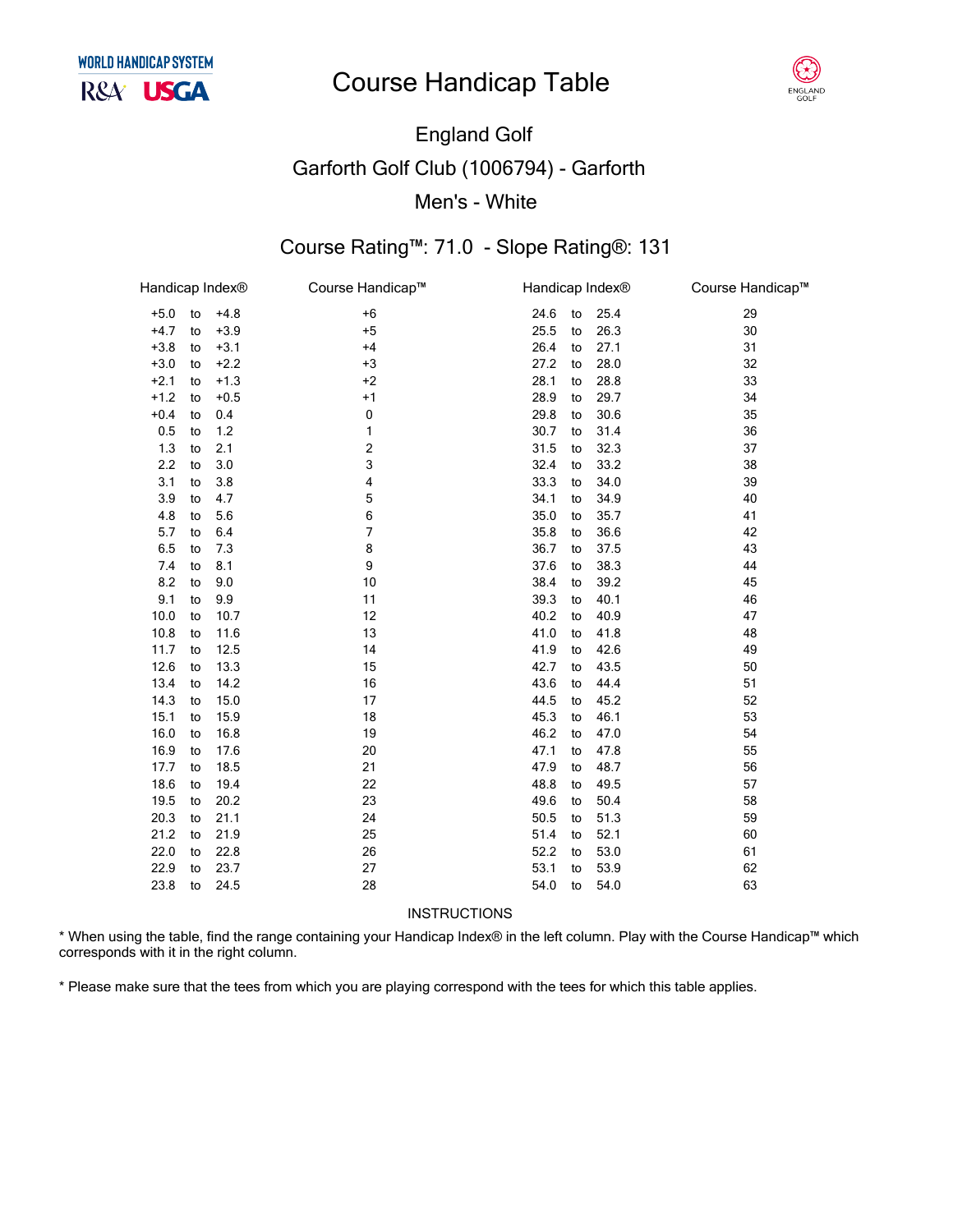### **Course Handicap Table**



# **England Golf Garforth Golf Club (1006794) - Garforth** Men's - White

### Course Rating™: 71.0 - Slope Rating®: 131

| Handicap Index® |    |        | Course Handicap™ | Handicap Index® |    |      | Course Handicap™ |
|-----------------|----|--------|------------------|-----------------|----|------|------------------|
| $+5.0$          | to | $+4.8$ | $+6$             | 24.6            | to | 25.4 | 29               |
| $+4.7$          | to | $+3.9$ | $+5$             | 25.5            | to | 26.3 | 30               |
| $+3.8$          | to | $+3.1$ | $+4$             | 26.4            | to | 27.1 | 31               |
| $+3.0$          | to | $+2.2$ | $+3$             | 27.2            | to | 28.0 | 32               |
| $+2.1$          | to | $+1.3$ | $+2$             | 28.1            | to | 28.8 | 33               |
| $+1.2$          | to | $+0.5$ | $+1$             | 28.9            | to | 29.7 | 34               |
| $+0.4$          | to | 0.4    | 0                | 29.8            | to | 30.6 | 35               |
| 0.5             | to | $1.2$  | 1                | 30.7            | to | 31.4 | 36               |
| 1.3             | to | 2.1    | 2                | 31.5            | to | 32.3 | 37               |
| 2.2             | to | 3.0    | 3                | 32.4            | to | 33.2 | 38               |
| 3.1             | to | 3.8    | 4                | 33.3            | to | 34.0 | 39               |
| 3.9             | to | 4.7    | 5                | 34.1            | to | 34.9 | 40               |
| 4.8             | to | 5.6    | 6                | 35.0            | to | 35.7 | 41               |
| 5.7             | to | 6.4    | 7                | 35.8            | to | 36.6 | 42               |
| 6.5             | to | 7.3    | 8                | 36.7            | to | 37.5 | 43               |
| 7.4             | to | 8.1    | 9                | 37.6            | to | 38.3 | 44               |
| 8.2             | to | 9.0    | 10               | 38.4            | to | 39.2 | 45               |
| 9.1             | to | 9.9    | 11               | 39.3            | to | 40.1 | 46               |
| 10.0            | to | 10.7   | 12               | 40.2            | to | 40.9 | 47               |
| 10.8            | to | 11.6   | 13               | 41.0            | to | 41.8 | 48               |
| 11.7            | to | 12.5   | 14               | 41.9            | to | 42.6 | 49               |
| 12.6            | to | 13.3   | 15               | 42.7            | to | 43.5 | 50               |
| 13.4            | to | 14.2   | 16               | 43.6            | to | 44.4 | 51               |
| 14.3            | to | 15.0   | 17               | 44.5            | to | 45.2 | 52               |
| 15.1            | to | 15.9   | 18               | 45.3            | to | 46.1 | 53               |
| 16.0            | to | 16.8   | 19               | 46.2            | to | 47.0 | 54               |
| 16.9            | to | 17.6   | 20               | 47.1            | to | 47.8 | 55               |
| 17.7            | to | 18.5   | 21               | 47.9            | to | 48.7 | 56               |
| 18.6            | to | 19.4   | 22               | 48.8            | to | 49.5 | 57               |
| 19.5            | to | 20.2   | 23               | 49.6            | to | 50.4 | 58               |
| 20.3            | to | 21.1   | 24               | 50.5            | to | 51.3 | 59               |
| 21.2            | to | 21.9   | 25               | 51.4            | to | 52.1 | 60               |
| 22.0            | to | 22.8   | 26               | 52.2            | to | 53.0 | 61               |
| 22.9            | to | 23.7   | 27               | 53.1            | to | 53.9 | 62               |
| 23.8            | to | 24.5   | 28               | 54.0            | to | 54.0 | 63               |
|                 |    |        |                  |                 |    |      |                  |

INSTRUCTIONS

\* When using the table, find the range containing your Handicap Index® in the left column. Play with the Course Handicap™ which corresponds with it in the right column.

\* Please make sure that the tees from which you are playing correspond with the tees for which this table applies.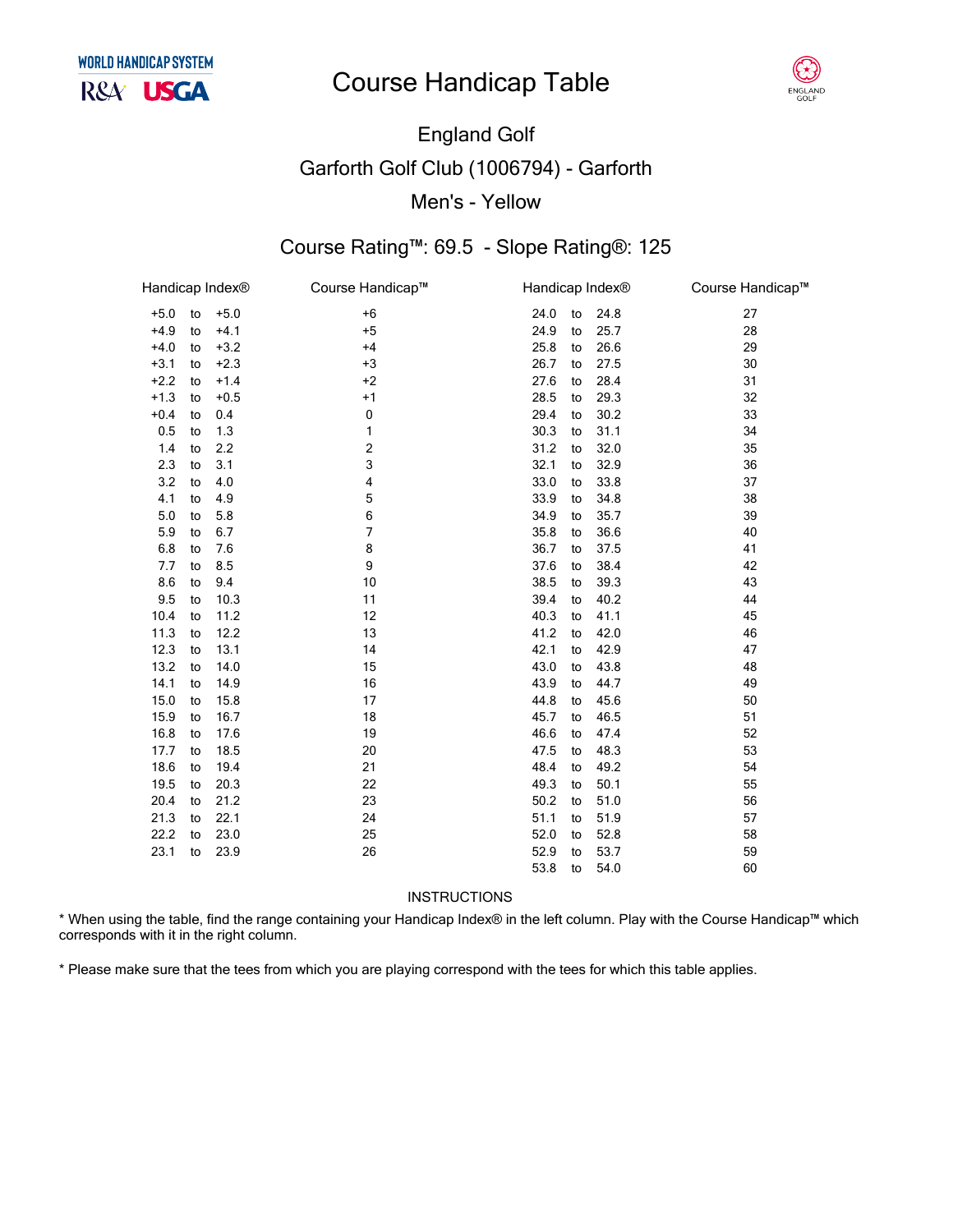# **Course Handicap Table**



# England Golf Garforth Golf Club (1006794) - Garforth Men's - Yellow

### Course Rating™: 69.5 - Slope Rating®: 125

| Handicap Index <sup>®</sup> |    |        | Course Handicap™        |      | Handicap Index® |      | Course Handicap™ |
|-----------------------------|----|--------|-------------------------|------|-----------------|------|------------------|
| $+5.0$                      | to | $+5.0$ | $+6$                    | 24.0 | to              | 24.8 | 27               |
| $+4.9$                      | to | $+4.1$ | $+5$                    | 24.9 | to              | 25.7 | 28               |
| $+4.0$                      | to | $+3.2$ | $+4$                    | 25.8 | to              | 26.6 | 29               |
| $+3.1$                      | to | $+2.3$ | $+3$                    | 26.7 | to              | 27.5 | 30               |
| $+2.2$                      | to | $+1.4$ | $+2$                    | 27.6 | to              | 28.4 | 31               |
| $+1.3$                      | to | $+0.5$ | $+1$                    | 28.5 | to              | 29.3 | 32               |
| $+0.4$                      | to | 0.4    | 0                       | 29.4 | to              | 30.2 | 33               |
| 0.5                         | to | 1.3    | 1                       | 30.3 | to              | 31.1 | 34               |
| 1.4                         | to | 2.2    | $\overline{\mathbf{c}}$ | 31.2 | to              | 32.0 | 35               |
| 2.3                         | to | 3.1    | 3                       | 32.1 | to              | 32.9 | 36               |
| 3.2                         | to | 4.0    | 4                       | 33.0 | to              | 33.8 | 37               |
| 4.1                         | to | 4.9    | 5                       | 33.9 | to              | 34.8 | 38               |
| 5.0                         | to | 5.8    | 6                       | 34.9 | to              | 35.7 | 39               |
| 5.9                         | to | 6.7    | 7                       | 35.8 | to              | 36.6 | 40               |
| 6.8                         | to | 7.6    | 8                       | 36.7 | to              | 37.5 | 41               |
| 7.7                         | to | 8.5    | 9                       | 37.6 | to              | 38.4 | 42               |
| 8.6                         | to | 9.4    | 10                      | 38.5 | to              | 39.3 | 43               |
| 9.5                         | to | 10.3   | 11                      | 39.4 | to              | 40.2 | 44               |
| 10.4                        | to | 11.2   | 12                      | 40.3 | to              | 41.1 | 45               |
| 11.3                        | to | 12.2   | 13                      | 41.2 | to              | 42.0 | 46               |
| 12.3                        | to | 13.1   | 14                      | 42.1 | to              | 42.9 | 47               |
| 13.2                        | to | 14.0   | 15                      | 43.0 | to              | 43.8 | 48               |
| 14.1                        | to | 14.9   | 16                      | 43.9 | to              | 44.7 | 49               |
| 15.0                        | to | 15.8   | 17                      | 44.8 | to              | 45.6 | 50               |
| 15.9                        | to | 16.7   | 18                      | 45.7 | to              | 46.5 | 51               |
| 16.8                        | to | 17.6   | 19                      | 46.6 | to              | 47.4 | 52               |
| 17.7                        | to | 18.5   | 20                      | 47.5 | to              | 48.3 | 53               |
| 18.6                        | to | 19.4   | 21                      | 48.4 | to              | 49.2 | 54               |
| 19.5                        | to | 20.3   | 22                      | 49.3 | to              | 50.1 | 55               |
| 20.4                        | to | 21.2   | 23                      | 50.2 | to              | 51.0 | 56               |
| 21.3                        | to | 22.1   | 24                      | 51.1 | to              | 51.9 | 57               |
| 22.2                        | to | 23.0   | 25                      | 52.0 | to              | 52.8 | 58               |
| 23.1                        | to | 23.9   | 26                      | 52.9 | to              | 53.7 | 59               |
|                             |    |        |                         | 53.8 | to              | 54.0 | 60               |
|                             |    |        |                         |      |                 |      |                  |

**INSTRUCTIONS** 

\* When using the table, find the range containing your Handicap Index® in the left column. Play with the Course Handicap™ which corresponds with it in the right column.

\* Please make sure that the tees from which you are playing correspond with the tees for which this table applies.